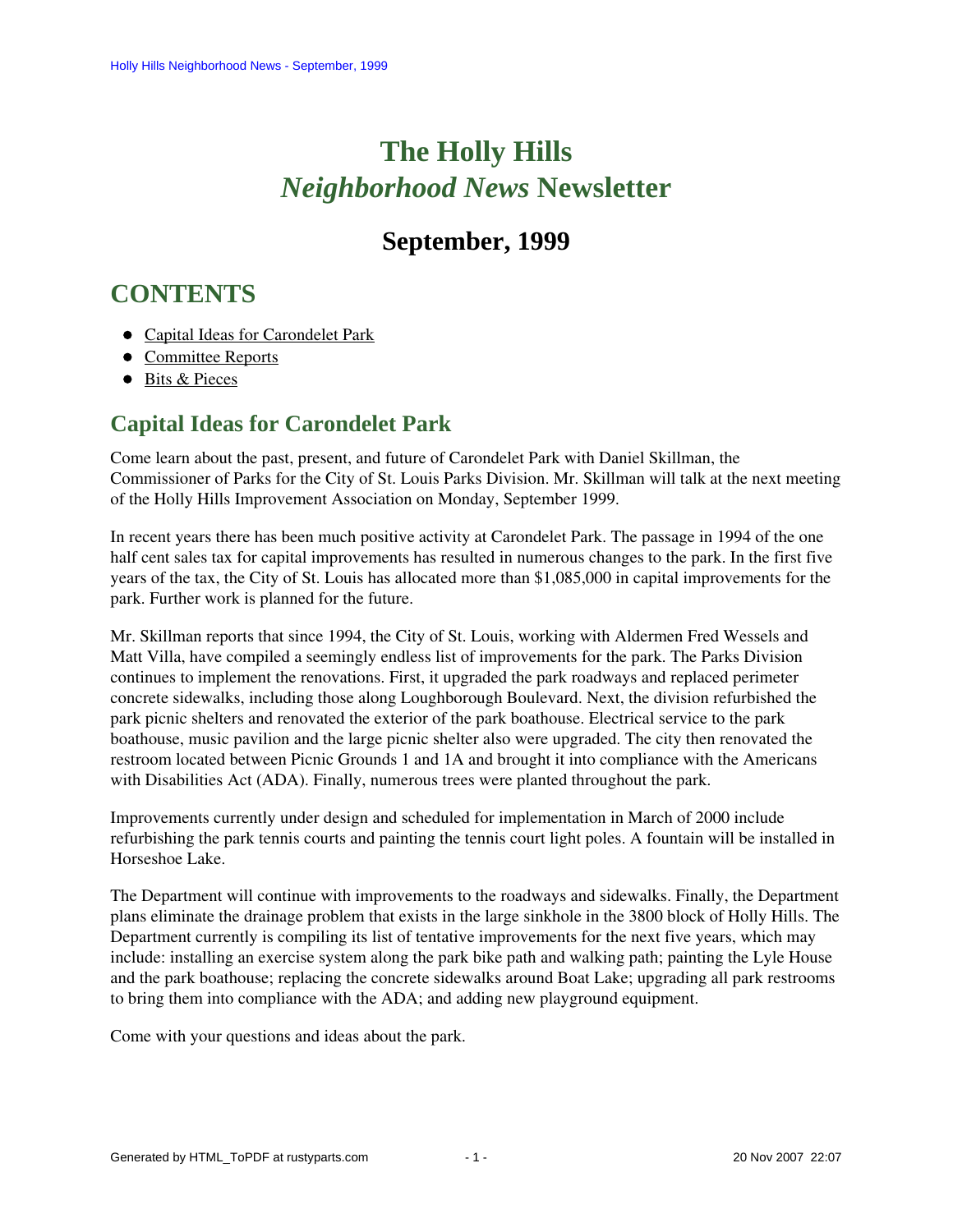# **The Holly Hills**  *Neighborhood News* **Newsletter**

## **September, 1999**

## <span id="page-0-1"></span>**CONTENTS**

- [Capital Ideas for Carondelet Park](#page-0-0)
- [Committee Reports](#page-1-0)
- [Bits & Pieces](#page-1-1)

## <span id="page-0-0"></span>**Capital Ideas for Carondelet Park**

Come learn about the past, present, and future of Carondelet Park with Daniel Skillman, the Commissioner of Parks for the City of St. Louis Parks Division. Mr. Skillman will talk at the next meeting of the Holly Hills Improvement Association on Monday, September 1999.

In recent years there has been much positive activity at Carondelet Park. The passage in 1994 of the one half cent sales tax for capital improvements has resulted in numerous changes to the park. In the first five years of the tax, the City of St. Louis has allocated more than \$1,085,000 in capital improvements for the park. Further work is planned for the future.

Mr. Skillman reports that since 1994, the City of St. Louis, working with Aldermen Fred Wessels and Matt Villa, have compiled a seemingly endless list of improvements for the park. The Parks Division continues to implement the renovations. First, it upgraded the park roadways and replaced perimeter concrete sidewalks, including those along Loughborough Boulevard. Next, the division refurbished the park picnic shelters and renovated the exterior of the park boathouse. Electrical service to the park boathouse, music pavilion and the large picnic shelter also were upgraded. The city then renovated the restroom located between Picnic Grounds 1 and 1A and brought it into compliance with the Americans with Disabilities Act (ADA). Finally, numerous trees were planted throughout the park.

Improvements currently under design and scheduled for implementation in March of 2000 include refurbishing the park tennis courts and painting the tennis court light poles. A fountain will be installed in Horseshoe Lake.

The Department will continue with improvements to the roadways and sidewalks. Finally, the Department plans eliminate the drainage problem that exists in the large sinkhole in the 3800 block of Holly Hills. The Department currently is compiling its list of tentative improvements for the next five years, which may include: installing an exercise system along the park bike path and walking path; painting the Lyle House and the park boathouse; replacing the concrete sidewalks around Boat Lake; upgrading all park restrooms to bring them into compliance with the ADA; and adding new playground equipment.

Come with your questions and ideas about the park.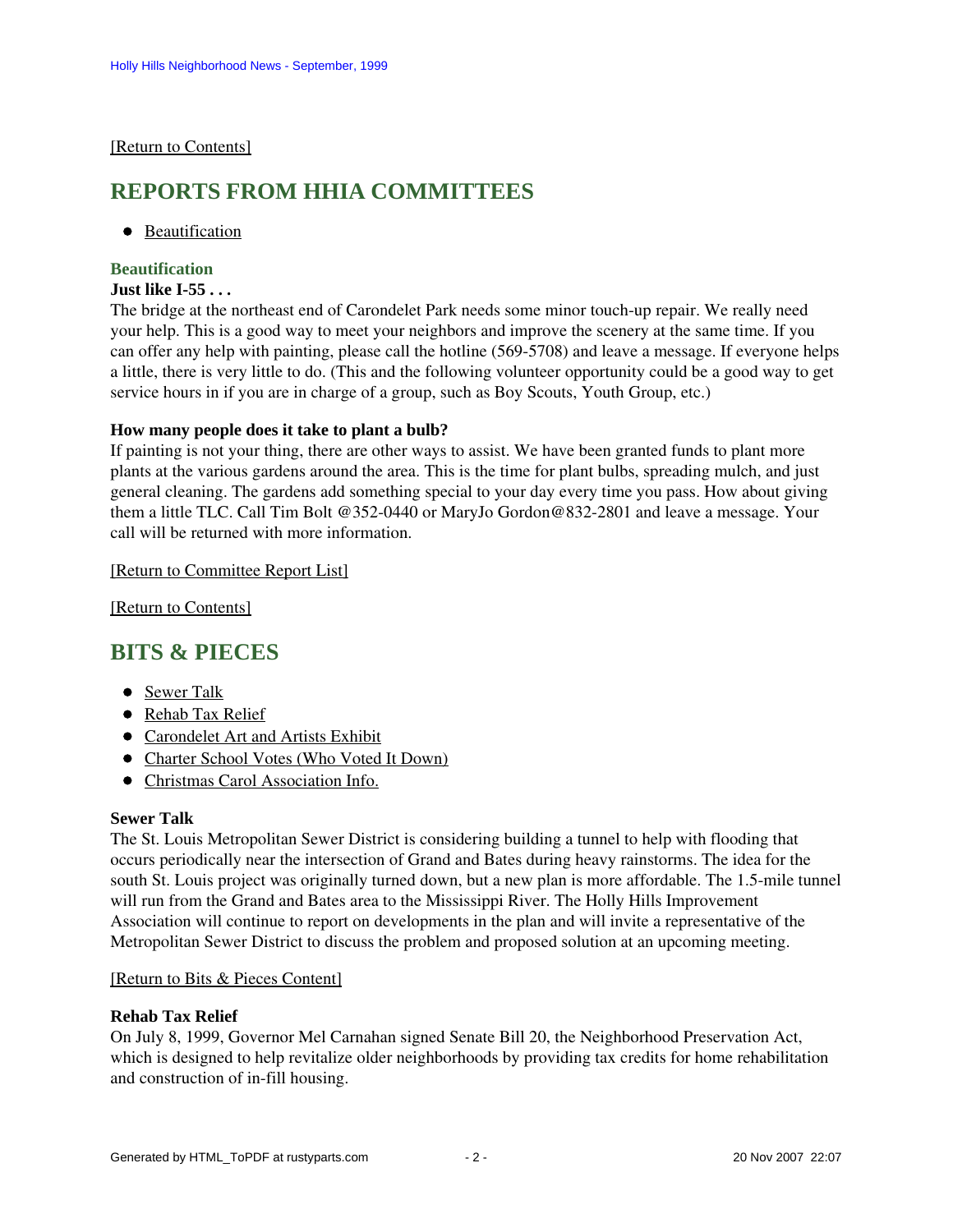#### <span id="page-1-0"></span>[\[Return to Contents\]](#page-0-1)

### <span id="page-1-3"></span>**REPORTS FROM HHIA COMMITTEES**

**•** [Beautification](#page-1-2)

### <span id="page-1-2"></span>**Beautification**

#### **Just like I-55 . . .**

The bridge at the northeast end of Carondelet Park needs some minor touch-up repair. We really need your help. This is a good way to meet your neighbors and improve the scenery at the same time. If you can offer any help with painting, please call the hotline (569-5708) and leave a message. If everyone helps a little, there is very little to do. (This and the following volunteer opportunity could be a good way to get service hours in if you are in charge of a group, such as Boy Scouts, Youth Group, etc.)

#### **How many people does it take to plant a bulb?**

If painting is not your thing, there are other ways to assist. We have been granted funds to plant more plants at the various gardens around the area. This is the time for plant bulbs, spreading mulch, and just general cleaning. The gardens add something special to your day every time you pass. How about giving them a little TLC. Call Tim Bolt @352-0440 or MaryJo Gordon@832-2801 and leave a message. Your call will be returned with more information.

#### [\[Return to Committee Report List\]](#page-1-3)

[\[Return to Contents\]](#page-0-1)

## <span id="page-1-6"></span><span id="page-1-1"></span>**BITS & PIECES**

- [Sewer Talk](#page-1-4)
- [Rehab Tax Relief](#page-1-5)
- [Carondelet Art and Artists Exhibit](#page-2-0)
- [Charter School Votes \(Who Voted It Down\)](#page-3-0)
- [Christmas Carol Association Info.](#page-3-1)

#### <span id="page-1-4"></span>**Sewer Talk**

The St. Louis Metropolitan Sewer District is considering building a tunnel to help with flooding that occurs periodically near the intersection of Grand and Bates during heavy rainstorms. The idea for the south St. Louis project was originally turned down, but a new plan is more affordable. The 1.5-mile tunnel will run from the Grand and Bates area to the Mississippi River. The Holly Hills Improvement Association will continue to report on developments in the plan and will invite a representative of the Metropolitan Sewer District to discuss the problem and proposed solution at an upcoming meeting.

#### [\[Return to Bits & Pieces Content\]](#page-1-6)

#### <span id="page-1-5"></span>**Rehab Tax Relief**

On July 8, 1999, Governor Mel Carnahan signed Senate Bill 20, the Neighborhood Preservation Act, which is designed to help revitalize older neighborhoods by providing tax credits for home rehabilitation and construction of in-fill housing.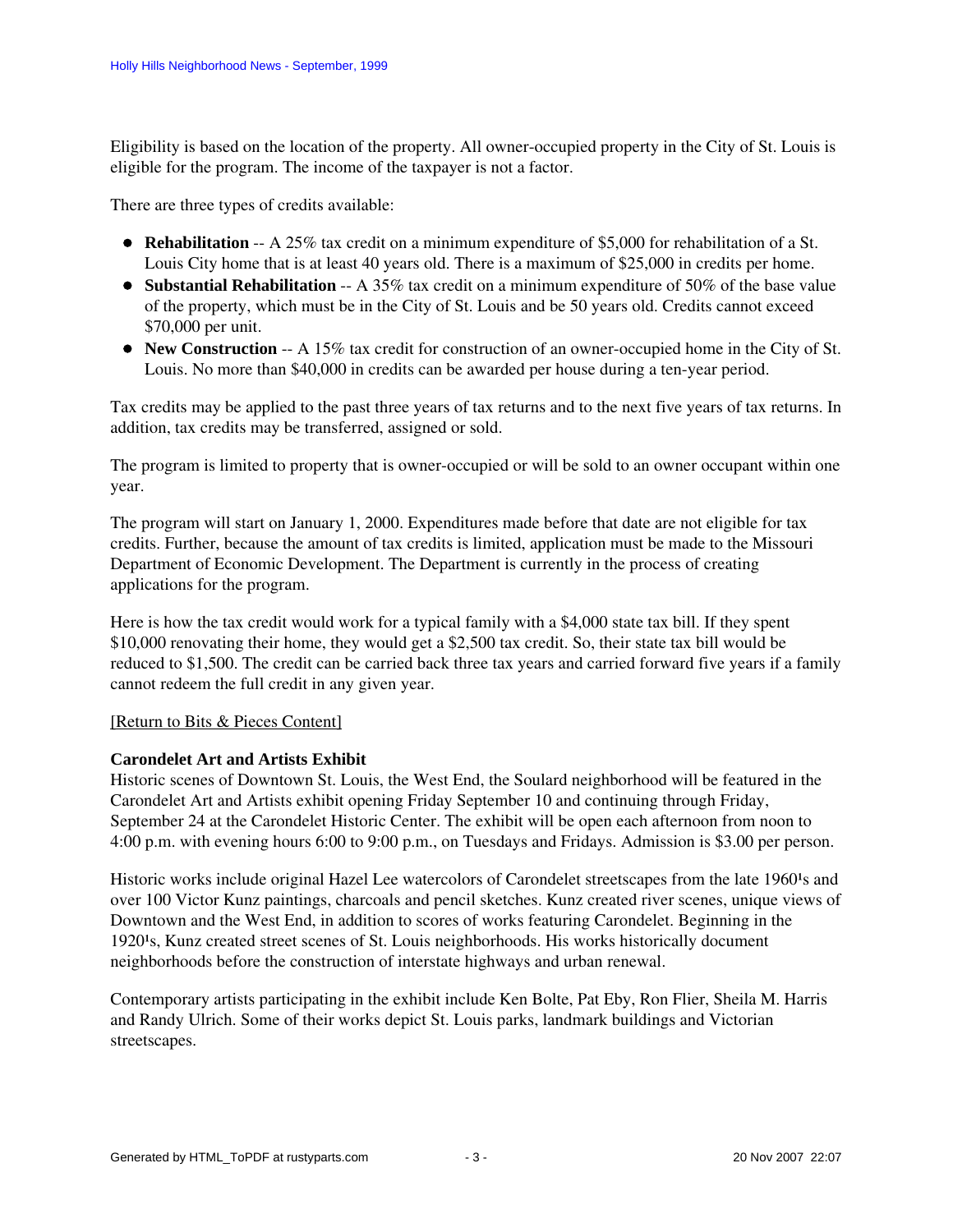Eligibility is based on the location of the property. All owner-occupied property in the City of St. Louis is eligible for the program. The income of the taxpayer is not a factor.

There are three types of credits available:

- **Rehabilitation** -- A 25% tax credit on a minimum expenditure of \$5,000 for rehabilitation of a St. Louis City home that is at least 40 years old. There is a maximum of \$25,000 in credits per home.
- **Substantial Rehabilitation** -- A 35% tax credit on a minimum expenditure of 50% of the base value of the property, which must be in the City of St. Louis and be 50 years old. Credits cannot exceed \$70,000 per unit.
- **New Construction** -- A 15% tax credit for construction of an owner-occupied home in the City of St. Louis. No more than \$40,000 in credits can be awarded per house during a ten-year period.

Tax credits may be applied to the past three years of tax returns and to the next five years of tax returns. In addition, tax credits may be transferred, assigned or sold.

The program is limited to property that is owner-occupied or will be sold to an owner occupant within one year.

The program will start on January 1, 2000. Expenditures made before that date are not eligible for tax credits. Further, because the amount of tax credits is limited, application must be made to the Missouri Department of Economic Development. The Department is currently in the process of creating applications for the program.

Here is how the tax credit would work for a typical family with a \$4,000 state tax bill. If they spent \$10,000 renovating their home, they would get a \$2,500 tax credit. So, their state tax bill would be reduced to \$1,500. The credit can be carried back three tax years and carried forward five years if a family cannot redeem the full credit in any given year.

#### [\[Return to Bits & Pieces Content\]](#page-1-6)

#### <span id="page-2-0"></span>**Carondelet Art and Artists Exhibit**

Historic scenes of Downtown St. Louis, the West End, the Soulard neighborhood will be featured in the Carondelet Art and Artists exhibit opening Friday September 10 and continuing through Friday, September 24 at the Carondelet Historic Center. The exhibit will be open each afternoon from noon to 4:00 p.m. with evening hours 6:00 to 9:00 p.m., on Tuesdays and Fridays. Admission is \$3.00 per person.

Historic works include original Hazel Lee watercolors of Carondelet streetscapes from the late 1960<sup>1</sup>s and over 100 Victor Kunz paintings, charcoals and pencil sketches. Kunz created river scenes, unique views of Downtown and the West End, in addition to scores of works featuring Carondelet. Beginning in the 1920<sup>1</sup>s, Kunz created street scenes of St. Louis neighborhoods. His works historically document neighborhoods before the construction of interstate highways and urban renewal.

Contemporary artists participating in the exhibit include Ken Bolte, Pat Eby, Ron Flier, Sheila M. Harris and Randy Ulrich. Some of their works depict St. Louis parks, landmark buildings and Victorian streetscapes.